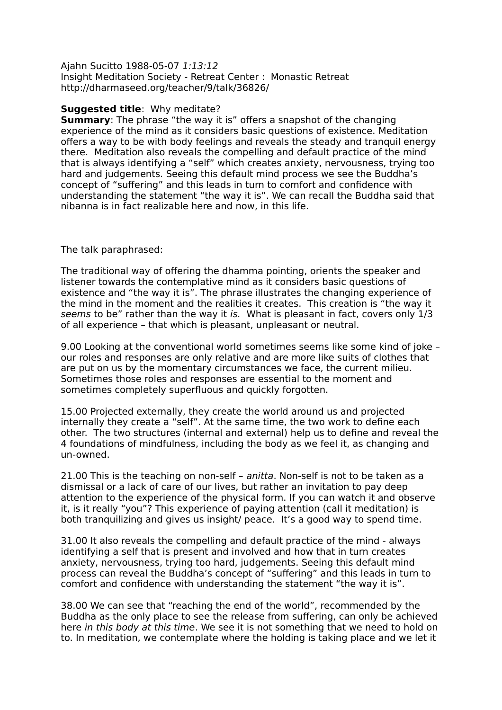Ajahn Sucitto 1988-05-07 1:13:12 Insight Meditation Society - Retreat Center : Monastic Retreat http://dharmaseed.org/teacher/9/talk/36826/

## **Suggested title**: Why meditate?

**Summary:** The phrase "the way it is" offers a snapshot of the changing experience of the mind as it considers basic questions of existence. Meditation offers a way to be with body feelings and reveals the steady and tranquil energy there. Meditation also reveals the compelling and default practice of the mind that is always identifying a "self" which creates anxiety, nervousness, trying too hard and judgements. Seeing this default mind process we see the Buddha's concept of "suffering" and this leads in turn to comfort and confidence with understanding the statement "the way it is". We can recall the Buddha said that nibanna is in fact realizable here and now, in this life.

The talk paraphrased:

The traditional way of offering the dhamma pointing, orients the speaker and listener towards the contemplative mind as it considers basic questions of existence and "the way it is". The phrase illustrates the changing experience of the mind in the moment and the realities it creates. This creation is "the way it seems to be" rather than the way it is. What is pleasant in fact, covers only 1/3 of all experience – that which is pleasant, unpleasant or neutral.

9.00 Looking at the conventional world sometimes seems like some kind of joke – our roles and responses are only relative and are more like suits of clothes that are put on us by the momentary circumstances we face, the current milieu. Sometimes those roles and responses are essential to the moment and sometimes completely superfluous and quickly forgotten.

15.00 Projected externally, they create the world around us and projected internally they create a "self". At the same time, the two work to define each other. The two structures (internal and external) help us to define and reveal the 4 foundations of mindfulness, including the body as we feel it, as changing and un-owned.

21.00 This is the teaching on non-self – anitta. Non-self is not to be taken as a dismissal or a lack of care of our lives, but rather an invitation to pay deep attention to the experience of the physical form. If you can watch it and observe it, is it really "you"? This experience of paying attention (call it meditation) is both tranquilizing and gives us insight/ peace. It's a good way to spend time.

31.00 It also reveals the compelling and default practice of the mind - always identifying a self that is present and involved and how that in turn creates anxiety, nervousness, trying too hard, judgements. Seeing this default mind process can reveal the Buddha's concept of "suffering" and this leads in turn to comfort and confidence with understanding the statement "the way it is".

38.00 We can see that "reaching the end of the world", recommended by the Buddha as the only place to see the release from suffering, can only be achieved here in this body at this time. We see it is not something that we need to hold on to. In meditation, we contemplate where the holding is taking place and we let it